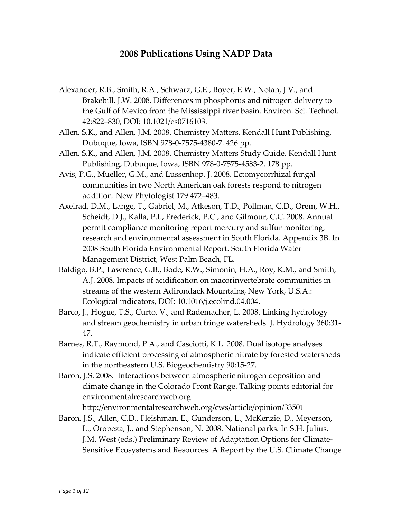## **2008 Publications Using NADP Data**

- Alexander, R.B., Smith, R.A., Schwarz, G.E., Boyer, E.W., Nolan, J.V., and Brakebill, J.W. 2008. Differences in [phosphorus](http://pubs.acs.org/doi/abs/10.1021/es0716103?prevSearch=NADP&searchHistoryKey=) and nitrogen delivery to the Gulf of Mexico from the [Mississippi](http://pubs.acs.org/doi/abs/10.1021/es0716103?prevSearch=NADP&searchHistoryKey=) river basin. Environ. Sci. Technol. 42:822–830, DOI: 10.1021/es0716103.
- Allen, S.K., and Allen, J.M. 2008. Chemistry Matters. Kendall Hunt Publishing, Dubuque, Iowa, ISBN 978‐0‐7575‐4380‐7. 426 pp.
- Allen, S.K., and Allen, J.M. 2008. Chemistry Matters Study Guide. Kendall Hunt Publishing, Dubuque, Iowa, ISBN 978‐0‐7575‐4583‐2. 178 pp.
- Avis, P.G., Mueller, G.M., and Lussenhop, J. 2008. Ectomycorrhizal fungal communities in two North American oak forests respond to nitrogen addition. New Phytologist 179:472–483.
- Axelrad, D.M., Lange, T., Gabriel, M., Atkeson, T.D., Pollman, C.D., Orem, W.H., Scheidt, D.J., Kalla, P.I., Frederick, P.C., and Gilmour, C.C. 2008. Annual permit compliance monitoring report mercury and sulfur monitoring, research and environmental assessment in South Florida. Appendix 3B. In 2008 South Florida Environmental Report. South Florida Water Management District, West Palm Beach, FL.
- Baldigo, B.P., Lawrence, G.B., Bode, R.W., Simonin, H.A., Roy, K.M., and Smith, A.J. 2008. Impacts of acidification on macorinvertebrate communities in streams of the western Adirondack Mountains, New York, U.S.A.: Ecological indicators, DOI: 10.1016/j.ecolind.04.004.
- Barco, J., Hogue, T.S., Curto, V., and Rademacher, L. 2008. Linking hydrology and stream geochemistry in urban fringe watersheds. J. Hydrology 360:31‐ 47.
- Barnes, R.T., Raymond, P.A., and Casciotti, K.L. 2008. Dual isotope analyses indicate efficient processing of atmospheric nitrate by forested watersheds in the northeastern U.S. Biogeochemistry 90:15‐27.
- Baron, J.S. 2008. Interactions between atmospheric nitrogen deposition and climate change in the Colorado Front Range. Talking points editorial for environmentalresearchweb.org.

<http://environmentalresearchweb.org/cws/article/opinion/33501>

Baron, J.S., Allen, C.D., Fleishman, E., Gunderson, L., McKenzie, D., Meyerson, L., Oropeza, J., and Stephenson, N. 2008. National parks. In S.H. Julius, J.M. West (eds.) Preliminary Review of Adaptation Options for Climate‐ Sensitive Ecosystems and Resources. A Report by the U.S. Climate Change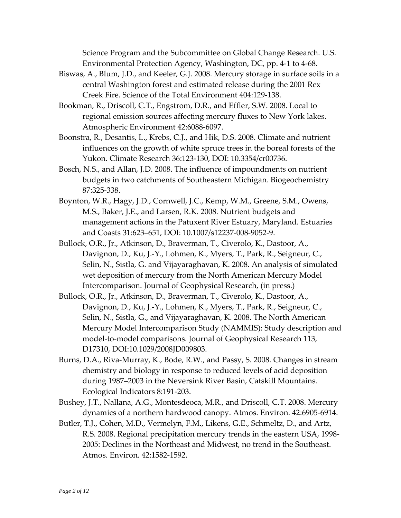Science Program and the Subcommittee on Global Change Research. U.S. Environmental Protection Agency, Washington, DC, pp. 4‐1 to 4‐68.

- Biswas, A., Blum, J.D., and Keeler, G.J. 2008. Mercury storage in surface soils in a central Washington forest and estimated release during the 2001 Rex Creek Fire. Science of the Total Environment 404:129‐138.
- Bookman, R., Driscoll, C.T., Engstrom, D.R., and Effler, S.W. 2008. [Local](http://www.sciencedirect.com/science?_ob=ArticleURL&_udi=B6VH3-4S7JG3V-3&_user=571676&_coverDate=08%2F31%2F2008&_alid=834001047&_rdoc=6&_fmt=high&_orig=search&_cdi=6055&_sort=d&_docanchor=&view=c&_ct=20&_acct=C000029040&_version=1&_urlVersion=0&_userid=571676&md5=f15261c8fb6cea7a5b29cbc314436208) to regional [emission](http://www.sciencedirect.com/science?_ob=ArticleURL&_udi=B6VH3-4S7JG3V-3&_user=571676&_coverDate=08%2F31%2F2008&_alid=834001047&_rdoc=6&_fmt=high&_orig=search&_cdi=6055&_sort=d&_docanchor=&view=c&_ct=20&_acct=C000029040&_version=1&_urlVersion=0&_userid=571676&md5=f15261c8fb6cea7a5b29cbc314436208) sources affecting mercury fluxes to New York lakes. Atmospheric Environment 42:6088‐6097.
- Boonstra, R., Desantis, L., Krebs, C.J., and Hik, D.S. 2008. Climate and nutrient influences on the growth of white spruce trees in the boreal forests of the Yukon. Climate Research 36:123‐130, DOI: 10.3354/cr00736.
- Bosch, N.S., and Allan, J.D. 2008. The influence of impoundments on nutrient budgets in two catchments of Southeastern Michigan. Biogeochemistry 87:325‐338.
- Boynton, W.R., Hagy, J.D., Cornwell, J.C., Kemp, W.M., Greene, S.M., Owens, M.S., Baker, J.E., and Larsen, R.K. 2008. Nutrient budgets and management actions in the Patuxent River Estuary, Maryland. Estuaries and Coasts 31:623–651, DOI: 10.1007/s12237‐008‐9052‐9.
- Bullock, O.R., Jr., Atkinson, D., Braverman, T., Civerolo, K., Dastoor, A., Davignon, D., Ku, J.‐Y., Lohmen, K., Myers, T., Park, R., Seigneur, C., Selin, N., Sistla, G. and Vijayaraghavan, K. 2008. An analysis of simulated wet deposition of mercury from the North American Mercury Model Intercomparison. Journal of Geophysical Research, (in press.)
- Bullock, O.R., Jr., Atkinson, D., Braverman, T., Civerolo, K., Dastoor, A., Davignon, D., Ku, J.‐Y., Lohmen, K., Myers, T., Park, R., Seigneur, C., Selin, N., Sistla, G., and Vijayaraghavan, K. 2008. The North American Mercury Model Intercomparison Study (NAMMIS): Study description and model-to-model comparisons. Journal of Geophysical Research 113, D17310, DOI:10.1029/2008JD009803.
- Burns, D.A., Riva‐Murray, K., Bode, R.W., and Passy, S. 2008. Changes in stream chemistry and biology in response to reduced levels of acid deposition during 1987–2003 in the Neversink River Basin, Catskill Mountains. Ecological Indicators 8:191‐203.
- Bushey, J.T., Nallana, A.G., Montesdeoca, M.R., and Driscoll, C.T. 2008. Mercury dynamics of a northern hardwood canopy. Atmos. Environ. 42:6905‐6914.
- Butler, T.J., Cohen, M.D., Vermelyn, F.M., Likens, G.E., Schmeltz, D., and Artz, R.S. 2008. Regional precipitation mercury trends in the eastern USA, 1998‐ 2005: Declines in the Northeast and Midwest, no trend in the Southeast. Atmos. Environ. 42:1582‐1592.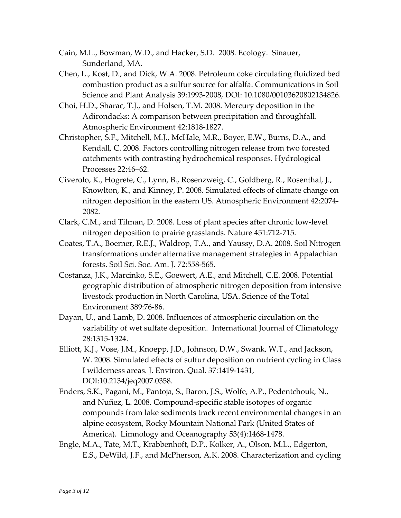- Cain, M.L., Bowman, W.D., and Hacker, S.D. 2008. Ecology. Sinauer, Sunderland, MA.
- Chen, L., Kost, D., and Dick, W.A. 2008. Petroleum coke circulating fluidized bed combustion product as a sulfur source for alfalfa. Communications in Soil Science and Plant Analysis 39:1993‐2008, DOI: 10.1080/00103620802134826.
- Choi, H.D., Sharac, T.J., and Holsen, T.M. 2008. Mercury deposition in the Adirondacks: A comparison between precipitation and throughfall. Atmospheric Environment 42:1818‐1827.
- Christopher, S.F., Mitchell, M.J., McHale, M.R., Boyer, E.W., Burns, D.A., and Kendall, C. 2008. Factors controlling nitrogen release from two forested catchments with contrasting hydrochemical responses. Hydrological Processes 22:46–62.
- Civerolo, K., Hogrefe, C., Lynn, B., Rosenzweig, C., Goldberg, R., Rosenthal, J., Knowlton, K., and Kinney, P. 2008. Simulated effects of climate change on nitrogen deposition in the eastern US. Atmospheric Environment 42:2074‐ 2082.
- Clark, C.M., and Tilman, D. 2008. Loss of plant species after chronic low‐level nitrogen deposition to prairie grasslands. Nature 451:712‐715.
- Coates, T.A., Boerner, R.E.J., Waldrop, T.A., and Yaussy, D.A. 2008. Soil Nitrogen transformations under alternative management strategies in Appalachian forests. Soil Sci. Soc. Am. J. 72:558‐565.
- Costanza, J.K., Marcinko, S.E., Goewert, A.E., and Mitchell, C.E. 2008. Potential geographic distribution of atmospheric nitrogen deposition from intensive livestock production in North Carolina, USA. Science of the Total Environment 389:76‐86.
- Dayan, U., and Lamb, D. 2008. Influences of atmospheric circulation on the variability of wet sulfate deposition. International Journal of Climatology 28:1315‐1324.
- Elliott, K.J., Vose, J.M., Knoepp, J.D., Johnson, D.W., Swank, W.T., and Jackson, W. 2008. Simulated effects of sulfur deposition on nutrient cycling in Class I wilderness areas. J. Environ. Qual. 37:1419‐1431, DOI:10.2134/jeq2007.0358.
- Enders, S.K., Pagani, M., Pantoja, S., Baron, J.S., Wolfe, A.P., Pedentchouk, N., and Nuñez, L. 2008. Compound‐specific stable isotopes of organic compounds from lake sediments track recent environmental changes in an alpine ecosystem, Rocky Mountain National Park (United States of America). Limnology and Oceanography 53(4):1468‐1478.
- Engle, M.A., Tate, M.T., Krabbenhoft, D.P., Kolker, A., Olson, M.L., Edgerton, E.S., DeWild, J.F., and McPherson, A.K. 2008. Characterization and cycling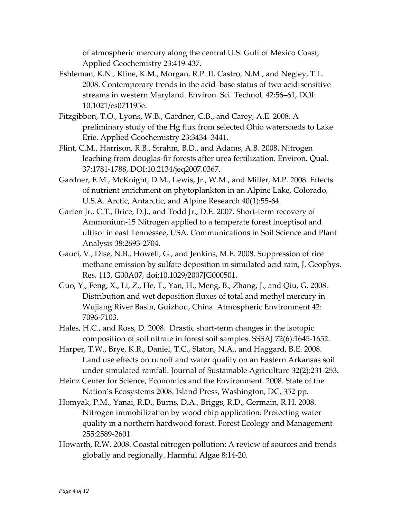of atmospheric mercury along the central U.S. Gulf of Mexico Coast, Applied Geochemistry 23:419‐437.

- Eshleman, K.N., Kline, K.M., Morgan, R.P. II, Castro, N.M., and Negley, T.L. 2008. [Contemporary](http://pubs.acs.org/doi/abs/10.1021/es071195e?prevSearch=NADP&searchHistoryKey=) trends in the acid–base status of two acid‐sensitive streams in western [Maryland](http://pubs.acs.org/doi/abs/10.1021/es071195e?prevSearch=NADP&searchHistoryKey=). Environ. Sci. Technol. 42:56–61, DOI: 10.1021/es071195e.
- Fitzgibbon, T.O., Lyons, W.B., Gardner, C.B., and Carey, A.E. 2008. A preliminary study of the Hg flux from selected Ohio watersheds to Lake Erie. Applied Geochemistry 23:3434–3441.
- Flint, C.M., Harrison, R.B., Strahm, B.D., and Adams, A.B. 2008**.** Nitrogen leaching from douglas‐fir forests after urea fertilization. Environ. Qual. 37:1781‐1788, DOI:10.2134/jeq2007.0367.
- Gardner, E.M., McKnight, D.M., Lewis, Jr., W.M., and Miller, M.P. 2008. Effects of nutrient enrichment on phytoplankton in an Alpine Lake, Colorado, U.S.A. Arctic, Antarctic, and Alpine Research 40(1):55‐64.
- Garten Jr., C.T., Brice, D.J., and Todd Jr., D.E. 2007. Short‐term recovery of Ammonium‐15 Nitrogen applied to a temperate forest inceptisol and ultisol in east Tennessee, USA. Communications in Soil Science and Plant Analysis 38:2693‐2704.
- Gauci, V., Dise, N.B., Howell, G., and Jenkins, M.E. 2008. Suppression of rice methane emission by sulfate deposition in simulated acid rain, J. Geophys. Res*.* 113, G00A07, doi:10.1029/2007JG000501.
- Guo, Y., Feng, X., Li, Z., He, T., Yan, H., Meng, B., Zhang, J., and Qiu, G. 2008. [Distribution](http://www.sciencedirect.com/science?_ob=ArticleURL&_udi=B6VH3-4T0MMPD-D&_user=571676&_coverDate=09%2F30%2F2008&_alid=834001047&_rdoc=5&_fmt=high&_orig=search&_cdi=6055&_sort=d&_docanchor=&view=c&_ct=20&_acct=C000029040&_version=1&_urlVersion=0&_userid=571676&md5=b36a3a066329e214b6ecccebbf54af63) and wet deposition fluxes of total and methyl mercury in Wujiang River Basin, [Guizhou,](http://www.sciencedirect.com/science?_ob=ArticleURL&_udi=B6VH3-4T0MMPD-D&_user=571676&_coverDate=09%2F30%2F2008&_alid=834001047&_rdoc=5&_fmt=high&_orig=search&_cdi=6055&_sort=d&_docanchor=&view=c&_ct=20&_acct=C000029040&_version=1&_urlVersion=0&_userid=571676&md5=b36a3a066329e214b6ecccebbf54af63) China. Atmospheric Environment 42: 7096‐7103.
- Hales, H.C., and Ross, D. 2008. Drastic short-term changes in the isotopic composition of soil nitrate in forest soil samples. SSSAJ 72(6):1645‐1652.
- Harper, T.W., Brye, K.R., Daniel, T.C., Slaton, N.A., and Haggard, B.E. 2008. Land use effects on runoff and water quality on an Eastern Arkansas soil under simulated rainfall. Journal of Sustainable Agriculture 32(2):231‐253.
- Heinz Center for Science, Economics and the Environment. 2008. State of the Nation's Ecosystems 2008. Island Press, Washington, DC, 352 pp.
- Homyak, P.M., Yanai, R.D., Burns, D.A., Briggs, R.D., Germain, R.H. 2008. Nitrogen immobilization by wood chip application: Protecting water quality in a northern hardwood forest. Forest Ecology and Management 255:2589‐2601*.*
- Howarth, R.W. 2008. Coastal nitrogen pollution: A review of sources and trends globally and regionally. [Harmful](http://www.sciencedirect.com/science/journal/15689883) Algae 8:14‐20.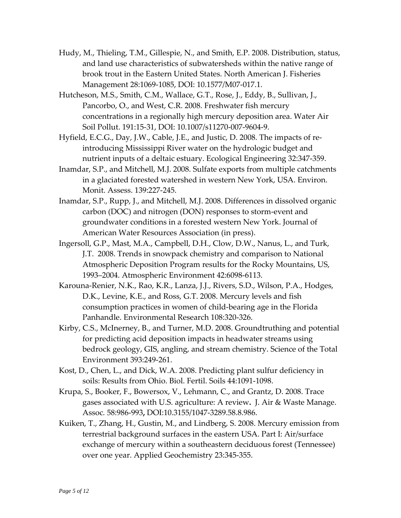- Hudy, M., Thieling, T.M., Gillespie, N., and Smith, E.P. 2008. Distribution, status, and land use characteristics of subwatersheds within the native range of brook trout in the Eastern United States. North American J. Fisheries Management 28:1069‐1085, DOI: 10.1577/M07‐017.1.
- Hutcheson, M.S., Smith, C.M., Wallace, G.T., Rose, J., Eddy, B., Sullivan, J., Pancorbo, O., and West, C.R. 2008. Freshwater fish mercury concentrations in a regionally high mercury deposition area. Water Air Soil Pollut. 191:15‐31, DOI: 10.1007/s11270‐007‐9604‐9.
- Hyfield, E.C.G., Day, J.W., Cable, J.E., and Justic, D. 2008. The impacts of re‐ introducing Mississippi River water on the hydrologic budget and nutrient inputs of a deltaic estuary. Ecological Engineering 32:347‐359.
- Inamdar, S.P., and Mitchell, M.J. 2008. Sulfate exports from multiple catchments in a glaciated forested watershed in western New York, USA. Environ. Monit. Assess. 139:227‐245.
- Inamdar, S.P., Rupp, J., and Mitchell, M.J. 2008. Differences in dissolved organic carbon (DOC) and nitrogen (DON) responses to storm‐event and groundwater conditions in a forested western New York. Journal of American Water Resources Association (in press).
- Ingersoll, G.P., Mast, M.A., Campbell, D.H., Clow, D.W., Nanus, L., and Turk, J.T. 2008. Trends in snowpack chemistry and [comparison](http://www.sciencedirect.com/science?_ob=ArticleURL&_udi=B6VH3-4RXJYWY-7&_user=571676&_coverDate=08%2F31%2F2008&_alid=834001047&_rdoc=7&_fmt=high&_orig=search&_cdi=6055&_sort=d&_docanchor=&view=c&_ct=20&_acct=C000029040&_version=1&_urlVersion=0&_userid=571676&md5=3d69b47fc91462527cfae0c1200fe880) to National [Atmospheric](http://www.sciencedirect.com/science?_ob=ArticleURL&_udi=B6VH3-4RXJYWY-7&_user=571676&_coverDate=08%2F31%2F2008&_alid=834001047&_rdoc=7&_fmt=high&_orig=search&_cdi=6055&_sort=d&_docanchor=&view=c&_ct=20&_acct=C000029040&_version=1&_urlVersion=0&_userid=571676&md5=3d69b47fc91462527cfae0c1200fe880) Deposition Program results for the Rocky Mountains, US, [1993–2004](http://www.sciencedirect.com/science?_ob=ArticleURL&_udi=B6VH3-4RXJYWY-7&_user=571676&_coverDate=08%2F31%2F2008&_alid=834001047&_rdoc=7&_fmt=high&_orig=search&_cdi=6055&_sort=d&_docanchor=&view=c&_ct=20&_acct=C000029040&_version=1&_urlVersion=0&_userid=571676&md5=3d69b47fc91462527cfae0c1200fe880). Atmospheric Environment 42:6098‐6113.
- Karouna‐Renier, N.K., Rao, K.R., Lanza, J.J., Rivers, S.D., Wilson, P.A., Hodges, D.K., Levine, K.E., and Ross, G.T. 2008. [Mercury](http://www.sciencedirect.com/science?_ob=ArticleURL&_udi=B6WDS-4THB4HK-1&_user=571676&_coverDate=11%2F30%2F2008&_alid=834096632&_rdoc=1&_fmt=high&_orig=search&_cdi=6774&_sort=d&_docanchor=&view=c&_ct=41&_acct=C000029040&_version=1&_urlVersion=0&_userid=571676&md5=c452883b244a62a6591abb8755738b3a) levels and fish [consumption](http://www.sciencedirect.com/science?_ob=ArticleURL&_udi=B6WDS-4THB4HK-1&_user=571676&_coverDate=11%2F30%2F2008&_alid=834096632&_rdoc=1&_fmt=high&_orig=search&_cdi=6774&_sort=d&_docanchor=&view=c&_ct=41&_acct=C000029040&_version=1&_urlVersion=0&_userid=571676&md5=c452883b244a62a6591abb8755738b3a) practices in women of child‐bearing age in the Florida [Panhandle.](http://www.sciencedirect.com/science?_ob=ArticleURL&_udi=B6WDS-4THB4HK-1&_user=571676&_coverDate=11%2F30%2F2008&_alid=834096632&_rdoc=1&_fmt=high&_orig=search&_cdi=6774&_sort=d&_docanchor=&view=c&_ct=41&_acct=C000029040&_version=1&_urlVersion=0&_userid=571676&md5=c452883b244a62a6591abb8755738b3a) Environmental Research 108:320‐326.
- Kirby, C.S., McInerney, B., and Turner, M.D. 2008. Groundtruthing and potential for predicting acid deposition impacts in headwater streams using bedrock geology, GIS, angling, and stream chemistry. Science of the Total Environment 393:249‐261.
- Kost, D., Chen, L., and Dick, W.A. 2008. Predicting plant sulfur deficiency in soils: Results from Ohio. Biol. Fertil. Soils 44:1091‐1098.
- Krupa, S., Booker, F., Bowersox, V., Lehmann, C., and Grantz, D. 2008. Trace gases associated with U.S. agriculture: A review**.** J. Air & Waste Manage. Assoc*.* 58:986‐993**,** DOI:10.3155/1047‐3289.58.8.986.
- Kuiken, T., Zhang, H., Gustin, M., and Lindberg, S. 2008. Mercury emission from terrestrial background surfaces in the eastern USA. Part I: Air/surface exchange of mercury within a southeastern deciduous forest (Tennessee) over one year. Applied [Geochemistry](http://www.sciencedirect.com/science/journal/08832927) 23:345‐355.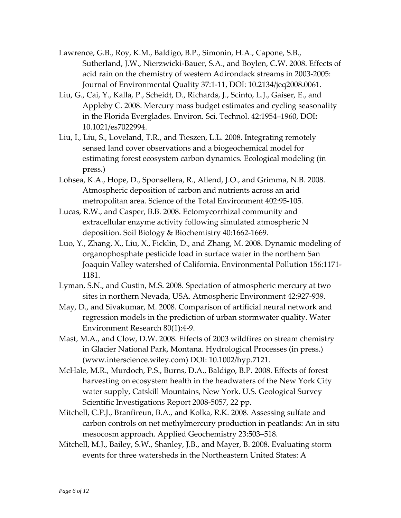- Lawrence, G.B., Roy, K.M., Baldigo, B.P., Simonin, H.A., Capone, S.B., Sutherland, J.W., Nierzwicki‐Bauer, S.A., and Boylen, C.W. 2008. Effects of acid rain on the chemistry of western Adirondack streams in 2003‐2005: Journal of Environmental Quality 37:1‐11, DOI: 10.2134/jeq2008.0061.
- Liu, G., Cai, Y., Kalla, P., Scheidt, D., Richards, J., Scinto, L.J., Gaiser, E., and Appleby C. 2008. Mercury mass budget estimates and cycling [seasonality](http://pubs.acs.org/doi/abs/10.1021/es7022994?prevSearch=MDN&searchHistoryKey=) in the Florida [Everglades](http://pubs.acs.org/doi/abs/10.1021/es7022994?prevSearch=MDN&searchHistoryKey=). Environ. Sci. Technol. 42:1954–1960, DOI**:** 10.1021/es7022994.
- Liu, I., Liu, S., Loveland, T.R., and Tieszen, L.L. 2008. Integrating remotely sensed land cover observations and a biogeochemical model for estimating forest ecosystem carbon dynamics. Ecological modeling (in press.)
- Lohsea, K.A., Hope, D., Sponsellera, R., Allend, J.O., and Grimma, N.B. 2008. Atmospheric deposition of carbon and nutrients across an arid metropolitan area. Science of the Total Environment 402:95‐105.
- Lucas, R.W., and Casper, B.B. 2008. Ectomycorrhizal community and extracellular enzyme activity following simulated atmospheric N deposition. Soil Biology & [Biochemistry](http://www.sciencedirect.com/science/journal/00380717) 40:1662‐1669.
- Luo, Y., Zhang, X., Liu, X., Ficklin, D., and Zhang, M. 2008. Dynamic [modeling](http://www.sciencedirect.com/science?_ob=ArticleURL&_udi=B6VB5-4SK4XC5-4&_user=571676&_coverDate=12%2F31%2F2008&_alid=834090899&_rdoc=2&_fmt=high&_orig=search&_cdi=5917&_sort=d&_docanchor=&view=c&_ct=81&_acct=C000029040&_version=1&_urlVersion=0&_userid=571676&md5=0e14b72218079c10b19c20ec71172a98) of [organophosphate](http://www.sciencedirect.com/science?_ob=ArticleURL&_udi=B6VB5-4SK4XC5-4&_user=571676&_coverDate=12%2F31%2F2008&_alid=834090899&_rdoc=2&_fmt=high&_orig=search&_cdi=5917&_sort=d&_docanchor=&view=c&_ct=81&_acct=C000029040&_version=1&_urlVersion=0&_userid=571676&md5=0e14b72218079c10b19c20ec71172a98) pesticide load in surface water in the northern San Joaquin Valley [watershed](http://www.sciencedirect.com/science?_ob=ArticleURL&_udi=B6VB5-4SK4XC5-4&_user=571676&_coverDate=12%2F31%2F2008&_alid=834090899&_rdoc=2&_fmt=high&_orig=search&_cdi=5917&_sort=d&_docanchor=&view=c&_ct=81&_acct=C000029040&_version=1&_urlVersion=0&_userid=571676&md5=0e14b72218079c10b19c20ec71172a98) of California. Environmental Pollution 156:1171‐ 1181.
- Lyman, S.N., and Gustin, M.S. 2008. Speciation of [atmospheric](http://www.sciencedirect.com/science?_ob=ArticleURL&_udi=B6VH3-4PWKSXJ-1&_user=571676&_coverDate=02%2F29%2F2008&_alid=834001047&_rdoc=20&_fmt=high&_orig=search&_cdi=6055&_sort=d&_docanchor=&view=c&_ct=20&_acct=C000029040&_version=1&_urlVersion=0&_userid=571676&md5=9227d801cea8128504e635f2fd5f5df8) mercury at two sites in [northern](http://www.sciencedirect.com/science?_ob=ArticleURL&_udi=B6VH3-4PWKSXJ-1&_user=571676&_coverDate=02%2F29%2F2008&_alid=834001047&_rdoc=20&_fmt=high&_orig=search&_cdi=6055&_sort=d&_docanchor=&view=c&_ct=20&_acct=C000029040&_version=1&_urlVersion=0&_userid=571676&md5=9227d801cea8128504e635f2fd5f5df8) Nevada, USA. Atmospheric Environment 42:927‐939.
- May, D., and Sivakumar, M. 2008. Comparison of artificial neural network and regression models in the prediction of urban stormwater quality. Water Environment Research 80(1):4‐9.
- Mast, M.A., and Clow, D.W. 2008. Effects of 2003 wildfires on stream chemistry in Glacier National Park, Montana. Hydrological Processes (in press.) (www.interscience.wiley.com) DOI: 10.1002/hyp.7121.
- McHale, M.R., Murdoch, P.S., Burns, D.A., Baldigo, B.P. 2008. Effects of forest harvesting on ecosystem health in the headwaters of the New York City water supply, Catskill Mountains, New York. U.S. Geological Survey Scientific Investigations Report 2008‐5057, 22 pp.
- Mitchell, C.P.J., Branfireun, B.A., and Kolka, R.K. 2008. Assessing sulfate and carbon controls on net methylmercury production in peatlands: An in situ mesocosm approach. Applied Geochemistry 23:503–518.
- Mitchell, M.J., Bailey, S.W., Shanley, J.B., and Mayer, B. 2008. Evaluating storm events for three watersheds in the Northeastern United States: A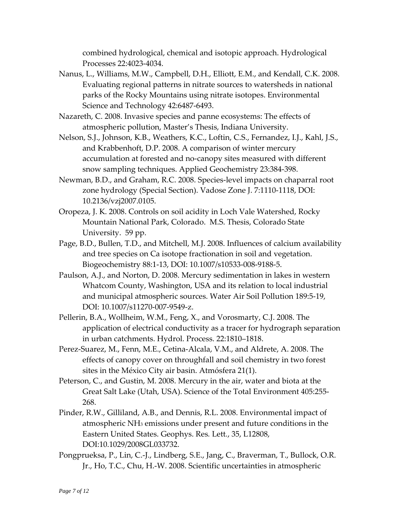combined hydrological, chemical and isotopic approach. Hydrological Processes 22:4023‐4034.

- Nanus, L., Williams, M.W., Campbell, D.H., Elliott, E.M., and Kendall, C.K. 2008. Evaluating regional patterns in nitrate sources to watersheds in national parks of the Rocky Mountains using nitrate isotopes. Environmental Science and Technology 42:6487‐6493.
- Nazareth, C. 2008. Invasive species and panne ecosystems: The effects of atmospheric pollution, Master's Thesis, Indiana University.
- Nelson, S.J., Johnson, K.B., Weathers, K.C., Loftin, C.S., Fernandez, I.J., Kahl, J.S., and Krabbenhoft, D.P. 2008. A comparison of winter mercury accumulation at forested and no‐canopy sites measured with different snow sampling techniques. Applied Geochemistry 23:384‐398.
- Newman, B.D., and Graham, R.C. 2008. Species‐level impacts on chaparral root zone hydrology (Special Section). Vadose Zone J. 7:1110‐1118, DOI: 10.2136/vzj2007.0105.
- Oropeza, J. K. 2008. Controls on soil acidity in Loch Vale Watershed, Rocky Mountain National Park, Colorado. M.S. Thesis, Colorado State University. 59 pp.
- Page, B.D., Bullen, T.D., and Mitchell, M.J. 2008. Influences of calcium availability and tree species on Ca isotope fractionation in soil and vegetation. Biogeochemistry 88:1‐13, DOI: 10.1007/s10533‐008‐9188‐5.
- Paulson, A.J., and Norton, D. 2008. Mercury sedimentation in lakes in western Whatcom County, Washington, USA and its relation to local industrial and municipal atmospheric sources. Water Air Soil Pollution 189:5‐19, DOI: 10.1007/s11270‐007‐9549‐z.
- Pellerin, B.A., Wollheim, W.M., Feng, X., and Vorosmarty, C.J. 2008. The application of electrical conductivity as a tracer for hydrograph separation in urban catchments. Hydrol. Process. 22:1810–1818.
- Perez‐Suarez, M., Fenn, M.E., Cetina‐Alcala, V.M., and Aldrete, A. 2008. The effects of canopy cover on throughfall and soil chemistry in two forest sites in the México City air basin. Atmósfera 21(1).
- Peterson, C., and Gustin, M. 2008. Mercury in the air, water and biota at the Great Salt Lake (Utah, USA). Science of the Total Environment 405:255‐ 268.
- Pinder, R.W., Gilliland, A.B., and Dennis, R.L. 2008. Environmental impact of atmospheric NH3 emissions under present and future conditions in the Eastern United States. Geophys. Res*.* Lett*.*, 35, L12808, DOI:10.1029/2008GL033732.
- Pongprueksa, P., Lin, C.‐J., Lindberg, S.E., Jang, C., Braverman, T., Bullock, O.R. Jr., Ho, T.C., Chu, H.‐W. 2008. Scientific [uncertainties](http://www.sciencedirect.com/science?_ob=ArticleURL&_udi=B6VH3-4R5F1X0-2&_user=571676&_coverDate=03%2F31%2F2008&_alid=834062838&_rdoc=6&_fmt=high&_orig=search&_cdi=6055&_sort=d&_docanchor=&view=c&_ct=8&_acct=C000029040&_version=1&_urlVersion=0&_userid=571676&md5=eb1d11c9cda09e280a8549c3517c485a) in atmospheric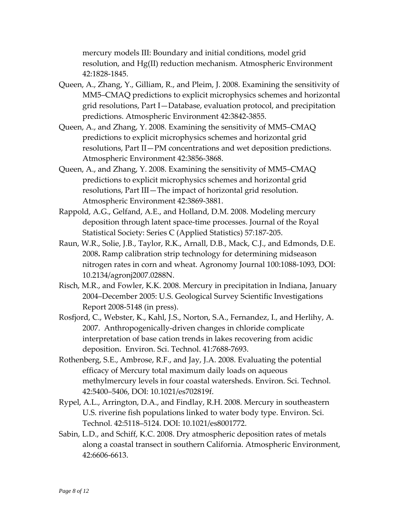mercury models III: Boundary and initial [conditions,](http://www.sciencedirect.com/science?_ob=ArticleURL&_udi=B6VH3-4R5F1X0-2&_user=571676&_coverDate=03%2F31%2F2008&_alid=834062838&_rdoc=6&_fmt=high&_orig=search&_cdi=6055&_sort=d&_docanchor=&view=c&_ct=8&_acct=C000029040&_version=1&_urlVersion=0&_userid=571676&md5=eb1d11c9cda09e280a8549c3517c485a) model grid resolution, and Hg(II) reduction [mechanism.](http://www.sciencedirect.com/science?_ob=ArticleURL&_udi=B6VH3-4R5F1X0-2&_user=571676&_coverDate=03%2F31%2F2008&_alid=834062838&_rdoc=6&_fmt=high&_orig=search&_cdi=6055&_sort=d&_docanchor=&view=c&_ct=8&_acct=C000029040&_version=1&_urlVersion=0&_userid=571676&md5=eb1d11c9cda09e280a8549c3517c485a) Atmospheric Environment 42:1828‐1845.

- Queen, A., Zhang, Y., Gilliam, R., and Pleim, J. 2008. [Examining](http://www.sciencedirect.com/science?_ob=ArticleURL&_udi=B6VH3-4RJRVWG-6&_user=571676&_coverDate=05%2F31%2F2008&_alid=834001047&_rdoc=10&_fmt=high&_orig=search&_cdi=6055&_sort=d&_docanchor=&view=c&_ct=20&_acct=C000029040&_version=1&_urlVersion=0&_userid=571676&md5=2d2a30f08e0fa44a513c965f5d566cd3) the sensitivity of [MM5–CMAQ](http://www.sciencedirect.com/science?_ob=ArticleURL&_udi=B6VH3-4RJRVWG-6&_user=571676&_coverDate=05%2F31%2F2008&_alid=834001047&_rdoc=10&_fmt=high&_orig=search&_cdi=6055&_sort=d&_docanchor=&view=c&_ct=20&_acct=C000029040&_version=1&_urlVersion=0&_userid=571676&md5=2d2a30f08e0fa44a513c965f5d566cd3) predictions to explicit microphysics schemes and horizontal grid resolutions, Part I—Database, evaluation protocol, and [precipitation](http://www.sciencedirect.com/science?_ob=ArticleURL&_udi=B6VH3-4RJRVWG-6&_user=571676&_coverDate=05%2F31%2F2008&_alid=834001047&_rdoc=10&_fmt=high&_orig=search&_cdi=6055&_sort=d&_docanchor=&view=c&_ct=20&_acct=C000029040&_version=1&_urlVersion=0&_userid=571676&md5=2d2a30f08e0fa44a513c965f5d566cd3) [predictions.](http://www.sciencedirect.com/science?_ob=ArticleURL&_udi=B6VH3-4RJRVWG-6&_user=571676&_coverDate=05%2F31%2F2008&_alid=834001047&_rdoc=10&_fmt=high&_orig=search&_cdi=6055&_sort=d&_docanchor=&view=c&_ct=20&_acct=C000029040&_version=1&_urlVersion=0&_userid=571676&md5=2d2a30f08e0fa44a513c965f5d566cd3) Atmospheric Environment 42:3842‐3855.
- Queen, A., and Zhang, Y. 2008. Examining the sensitivity of [MM5–CMAQ](http://www.sciencedirect.com/science?_ob=ArticleURL&_udi=B6VH3-4RJRVWG-3&_user=571676&_coverDate=05%2F31%2F2008&_alid=834001047&_rdoc=12&_fmt=high&_orig=search&_cdi=6055&_sort=d&_docanchor=&view=c&_ct=20&_acct=C000029040&_version=1&_urlVersion=0&_userid=571676&md5=3ec0098712f8a01cb5add60cb4ab0f2b) predictions to explicit [microphysics](http://www.sciencedirect.com/science?_ob=ArticleURL&_udi=B6VH3-4RJRVWG-3&_user=571676&_coverDate=05%2F31%2F2008&_alid=834001047&_rdoc=12&_fmt=high&_orig=search&_cdi=6055&_sort=d&_docanchor=&view=c&_ct=20&_acct=C000029040&_version=1&_urlVersion=0&_userid=571676&md5=3ec0098712f8a01cb5add60cb4ab0f2b) schemes and horizontal grid resolutions, Part II—PM [concentrations](http://www.sciencedirect.com/science?_ob=ArticleURL&_udi=B6VH3-4RJRVWG-3&_user=571676&_coverDate=05%2F31%2F2008&_alid=834001047&_rdoc=12&_fmt=high&_orig=search&_cdi=6055&_sort=d&_docanchor=&view=c&_ct=20&_acct=C000029040&_version=1&_urlVersion=0&_userid=571676&md5=3ec0098712f8a01cb5add60cb4ab0f2b) and wet deposition predictions. Atmospheric Environment 42:3856‐3868.
- Queen, A., and Zhang, Y. 2008. Examining the sensitivity of [MM5–CMAQ](http://www.sciencedirect.com/science?_ob=ArticleURL&_udi=B6VH3-4S01WSH-1&_user=571676&_coverDate=05%2F31%2F2008&_alid=834001047&_rdoc=13&_fmt=high&_orig=search&_cdi=6055&_sort=d&_docanchor=&view=c&_ct=20&_acct=C000029040&_version=1&_urlVersion=0&_userid=571676&md5=ce82ef5830c8f40d88219007d1cfca75) predictions to explicit [microphysics](http://www.sciencedirect.com/science?_ob=ArticleURL&_udi=B6VH3-4S01WSH-1&_user=571676&_coverDate=05%2F31%2F2008&_alid=834001047&_rdoc=13&_fmt=high&_orig=search&_cdi=6055&_sort=d&_docanchor=&view=c&_ct=20&_acct=C000029040&_version=1&_urlVersion=0&_userid=571676&md5=ce82ef5830c8f40d88219007d1cfca75) schemes and horizontal grid [resolutions,](http://www.sciencedirect.com/science?_ob=ArticleURL&_udi=B6VH3-4S01WSH-1&_user=571676&_coverDate=05%2F31%2F2008&_alid=834001047&_rdoc=13&_fmt=high&_orig=search&_cdi=6055&_sort=d&_docanchor=&view=c&_ct=20&_acct=C000029040&_version=1&_urlVersion=0&_userid=571676&md5=ce82ef5830c8f40d88219007d1cfca75) Part III—The impact of horizontal grid resolution. Atmospheric Environment 42:3869‐3881.
- Rappold, A.G., Gelfand, A.E., and Holland, D.M. 2008. [Modeling](http://www.blackwell-synergy.com/doi/abs/10.1111/j.1467-9876.2007.00608.x) mercury [deposition](http://www.blackwell-synergy.com/doi/abs/10.1111/j.1467-9876.2007.00608.x) through latent space‐time processes. Journal of the Royal Statistical Society: Series C (Applied Statistics) 57:187‐205.
- Raun, W.R., Solie, J.B., Taylor, R.K., Arnall, D.B., Mack, C.J., and Edmonds, D.E. 2008**.** Ramp calibration strip technology for determining midseason nitrogen rates in corn and wheat. Agronomy Journal 100:1088‐1093, DOI: 10.2134/agronj2007.0288N.
- Risch, M.R., and Fowler, K.K. 2008. Mercury in precipitation in Indiana, January 2004–December 2005: U.S. Geological Survey Scientific Investigations Report 2008‐5148 (in press).
- Rosfjord, C., Webster, K., Kahl, J.S., Norton, S.A., Fernandez, I., and Herlihy, A. 2007. Anthropogenically‐driven changes in chloride complicate interpretation of base cation trends in lakes recovering from acidic deposition. Environ. Sci. Technol. 41:7688‐7693.
- Rothenberg, S.E., Ambrose, R.F., and Jay, J.A. 2008. [Evaluating](http://pubs.acs.org/doi/abs/10.1021/es702819f?prevSearch=NADP&searchHistoryKey=) the potential efficacy of Mercury total [maximum](http://pubs.acs.org/doi/abs/10.1021/es702819f?prevSearch=NADP&searchHistoryKey=) daily loads on aqueous [methylmercury](http://pubs.acs.org/doi/abs/10.1021/es702819f?prevSearch=NADP&searchHistoryKey=) levels in four coastal watersheds. Environ. Sci. Technol. 42:5400–5406, DOI: 10.1021/es702819f.
- Rypel, A.L., Arrington, D.A., and Findlay, R.H. 2008. Mercury in [southeastern](http://pubs.acs.org/doi/abs/10.1021/es8001772?prevSearch=NADP&searchHistoryKey=) U.S. riverine fish [populations](http://pubs.acs.org/doi/abs/10.1021/es8001772?prevSearch=NADP&searchHistoryKey=) linked to water body type. Environ. Sci. Technol. 42:5118–5124. DOI: 10.1021/es8001772.
- Sabin, L.D., and Schiff, K.C. 2008. Dry [atmospheric](http://www.sciencedirect.com/science?_ob=ArticleURL&_udi=B6VH3-4SX3P46-R&_user=571676&_coverDate=09%2F30%2F2008&_alid=834001047&_rdoc=4&_fmt=high&_orig=search&_cdi=6055&_sort=d&_docanchor=&view=c&_ct=20&_acct=C000029040&_version=1&_urlVersion=0&_userid=571676&md5=3f920783c34bdf698428bd29a0700c6e) deposition rates of metals along a coastal transect in southern [California.](http://www.sciencedirect.com/science?_ob=ArticleURL&_udi=B6VH3-4SX3P46-R&_user=571676&_coverDate=09%2F30%2F2008&_alid=834001047&_rdoc=4&_fmt=high&_orig=search&_cdi=6055&_sort=d&_docanchor=&view=c&_ct=20&_acct=C000029040&_version=1&_urlVersion=0&_userid=571676&md5=3f920783c34bdf698428bd29a0700c6e) Atmospheric Environment, 42:6606‐6613.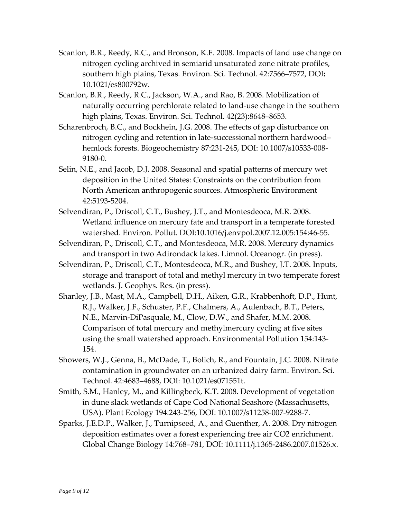- Scanlon, B.R., Reedy, R.C., and Bronson, K.F. 2008. [Impacts](http://pubs.acs.org/doi/abs/10.1021/es800792w?prevSearch=NADP&searchHistoryKey=) of land use change on nitrogen cycling archived in semiarid [unsaturated](http://pubs.acs.org/doi/abs/10.1021/es800792w?prevSearch=NADP&searchHistoryKey=) zone nitrate profiles, [southern](http://pubs.acs.org/doi/abs/10.1021/es800792w?prevSearch=NADP&searchHistoryKey=) high plains, Texas. Environ. Sci. Technol. 42:7566–7572, DOI**:** 10.1021/es800792w.
- Scanlon, B.R., Reedy, R.C., Jackson, W.A., and Rao, B. 2008. [Mobilization](http://pubs.acs.org/doi/abs/10.1021/es800361h?prevSearch=NADP&searchHistoryKey=) of naturally occurring [perchlorate](http://pubs.acs.org/doi/abs/10.1021/es800361h?prevSearch=NADP&searchHistoryKey=) related to land‐use change in the southern high [plains,](http://pubs.acs.org/doi/abs/10.1021/es800361h?prevSearch=NADP&searchHistoryKey=) Texas. Environ. Sci. Technol. 42(23):8648–8653.
- Scharenbroch, B.C., and Bockhein, J.G. 2008. The effects of gap disturbance on nitrogen cycling and retention in late‐successional northern hardwood– hemlock forests. Biogeochemistry 87:231‐245, DOI: 10.1007/s10533‐008‐ 9180‐0.
- Selin, N.E., and Jacob, D.J. 2008. [Seasonal](http://www.sciencedirect.com/science?_ob=ArticleURL&_udi=B6VH3-4S2669D-1&_user=571676&_coverDate=07%2F31%2F2008&_alid=834001047&_rdoc=8&_fmt=high&_orig=search&_cdi=6055&_sort=d&_docanchor=&view=c&_ct=20&_acct=C000029040&_version=1&_urlVersion=0&_userid=571676&md5=3813ac2bc25d639c85d3f268a32edc05) and spatial patterns of mercury wet deposition in the United States: Constraints on the [contribution](http://www.sciencedirect.com/science?_ob=ArticleURL&_udi=B6VH3-4S2669D-1&_user=571676&_coverDate=07%2F31%2F2008&_alid=834001047&_rdoc=8&_fmt=high&_orig=search&_cdi=6055&_sort=d&_docanchor=&view=c&_ct=20&_acct=C000029040&_version=1&_urlVersion=0&_userid=571676&md5=3813ac2bc25d639c85d3f268a32edc05) from North American [anthropogenic](http://www.sciencedirect.com/science?_ob=ArticleURL&_udi=B6VH3-4S2669D-1&_user=571676&_coverDate=07%2F31%2F2008&_alid=834001047&_rdoc=8&_fmt=high&_orig=search&_cdi=6055&_sort=d&_docanchor=&view=c&_ct=20&_acct=C000029040&_version=1&_urlVersion=0&_userid=571676&md5=3813ac2bc25d639c85d3f268a32edc05) sources. Atmospheric Environment 42:5193‐5204.
- Selvendiran, P., Driscoll, C.T., Bushey, J.T., and Montesdeoca, M.R. 2008. Wetland influence on mercury fate and transport in a temperate forested watershed. Environ. Pollut. DOI:10.1016/j.envpol.2007.12.005:154:46‐55.
- Selvendiran, P., Driscoll, C.T., and Montesdeoca, M.R. 2008. Mercury dynamics and transport in two Adirondack lakes. Limnol. Oceanogr. (in press).
- Selvendiran, P., Driscoll, C.T., Montesdeoca, M.R., and Bushey, J.T. 2008. Inputs, storage and transport of total and methyl mercury in two temperate forest wetlands. J. Geophys. Res. (in press).
- Shanley, J.B., Mast, M.A., Campbell, D.H., Aiken, G.R., Krabbenhoft, D.P., Hunt, R.J., Walker, J.F., Schuster, P.F., Chalmers, A., Aulenbach, B.T., Peters, N.E., Marvin‐DiPasquale, M., Clow, D.W., and Shafer, M.M. 2008. Comparison of total mercury and methylmercury cycling at five sites using the small watershed approach. Environmental Pollution 154:143‐ 154.
- Showers, W.J., Genna, B., McDade, T., Bolich, R., and Fountain, J.C. 2008. [Nitrate](http://pubs.acs.org/doi/abs/10.1021/es071551t?prevSearch=NADP&searchHistoryKey=) [contamination](http://pubs.acs.org/doi/abs/10.1021/es071551t?prevSearch=NADP&searchHistoryKey=) in groundwater on an urbanized dairy farm. Environ. Sci. Technol. 42:4683–4688, DOI: 10.1021/es071551t.
- Smith, S.M., Hanley, M., and Killingbeck, K.T. 2008. Development of vegetation in dune slack wetlands of Cape Cod National Seashore (Massachusetts, USA). Plant Ecology 194:243‐256, DOI: 10.1007/s11258‐007‐9288‐7.
- Sparks, J.E.D.P., Walker, J., Turnipseed, A., and Guenther, A. 2008. Dry nitrogen deposition estimates over a forest experiencing free air CO2 enrichment. Global Change Biology 14:768–781, DOI: 10.1111/j.1365‐2486.2007.01526.x.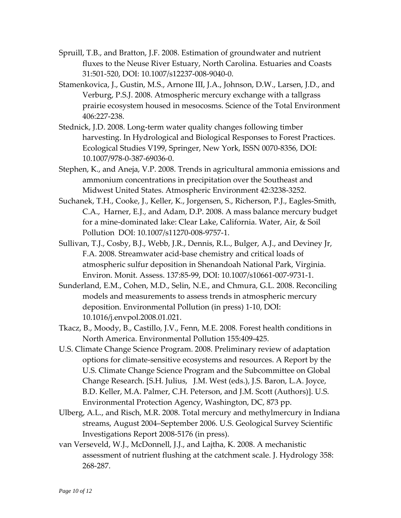- Spruill, T.B., and Bratton, J.F. 2008. Estimation of groundwater and nutrient fluxes to the Neuse River Estuary, North Carolina. Estuaries and Coasts 31:501‐520, DOI: 10.1007/s12237‐008‐9040‐0.
- Stamenkovica, J., Gustin, M.S., Arnone III, J.A., Johnson, D.W., Larsen, J.D., and Verburg, P.S.J. 2008. Atmospheric mercury exchange with a tallgrass prairie ecosystem housed in mesocosms. Science of the Total Environment 406:227‐238.
- Stednick, J.D. 2008. Long‐term water quality changes following timber harvesting. In Hydrological and Biological Responses to Forest Practices. Ecological Studies V199, Springer, New York, ISSN 0070‐8356, DOI: 10.1007/978‐0‐387‐69036‐0.
- Stephen, K., and Aneja, V.P. 2008. Trends in [agricultural](http://www.sciencedirect.com/science?_ob=ArticleURL&_udi=B6VH3-4NX2NNY-1&_user=571676&_coverDate=05%2F31%2F2008&_alid=834001047&_rdoc=9&_fmt=high&_orig=search&_cdi=6055&_sort=d&_docanchor=&view=c&_ct=20&_acct=C000029040&_version=1&_urlVersion=0&_userid=571676&md5=e2841e5125e760991aeca7582df0ca06) ammonia emissions and ammonium [concentrations](http://www.sciencedirect.com/science?_ob=ArticleURL&_udi=B6VH3-4NX2NNY-1&_user=571676&_coverDate=05%2F31%2F2008&_alid=834001047&_rdoc=9&_fmt=high&_orig=search&_cdi=6055&_sort=d&_docanchor=&view=c&_ct=20&_acct=C000029040&_version=1&_urlVersion=0&_userid=571676&md5=e2841e5125e760991aeca7582df0ca06) in precipitation over the Southeast and [Midwest](http://www.sciencedirect.com/science?_ob=ArticleURL&_udi=B6VH3-4NX2NNY-1&_user=571676&_coverDate=05%2F31%2F2008&_alid=834001047&_rdoc=9&_fmt=high&_orig=search&_cdi=6055&_sort=d&_docanchor=&view=c&_ct=20&_acct=C000029040&_version=1&_urlVersion=0&_userid=571676&md5=e2841e5125e760991aeca7582df0ca06) United States. Atmospheric Environment 42:3238‐3252.
- [Suchanek](http://www.springerlink.com/content/?Author=Thomas+H.+Suchanek), T.H., [Cooke,](http://www.springerlink.com/content/?Author=Janis+Cooke) J., [Keller](http://www.springerlink.com/content/?Author=Kaylene+Keller), K., [Jorgensen,](http://www.springerlink.com/content/?Author=Salvador+Jorgensen) S., [Richerson,](http://www.springerlink.com/content/?Author=Peter+J.+Richerson) P.J., [Eagles](http://www.springerlink.com/content/?Author=Collin+A.+Eagles-Smith)‐Smith, C.A., [Harner](http://www.springerlink.com/content/?Author=E.+James+Harner), E.J., and [Adam,](http://www.springerlink.com/content/?Author=David+P.+Adam) D.P. 2008. A mass balance [mercury](http://www.springerlink.com/content/3576n2lx37t2836m/?p=815bfb833db446849a360c82b2df62f4&pi=0) budget for a mine‐[dominated](http://www.springerlink.com/content/3576n2lx37t2836m/?p=815bfb833db446849a360c82b2df62f4&pi=0) lake: Clear Lake, California. [Water,](http://www.springerlink.com/content/100344/?p=815bfb833db446849a360c82b2df62f4&pi=0) Air, & Soil [Pollution](http://www.springerlink.com/content/100344/?p=815bfb833db446849a360c82b2df62f4&pi=0) DOI: 10.1007/s11270‐008‐9757‐1.
- Sullivan, T.J., Cosby, B.J., Webb, J.R., Dennis, R.L., Bulger, A.J., and Deviney Jr, F.A. 2008. Streamwater acid‐base chemistry and critical loads of atmospheric sulfur deposition in Shenandoah National Park, Virginia. Environ. Monit. Assess. 137:85‐99, DOI: 10.1007/s10661‐007‐9731‐1.
- Sunderland, E.M., Cohen, M.D., Selin, N.E., and Chmura, G.L. 2008. Reconciling models and measurements to assess trends in atmospheric mercury deposition. Environmental Pollution (in press) 1‐10, DOI: 10.1016/j.envpol.2008.01.021.
- Tkacz, B., Moody, B., Castillo, J.V., Fenn, M.E. 2008. Forest health conditions in North America. Environmental Pollution 155:409‐425.
- U.S. Climate Change Science Program. 2008. Preliminary review of adaptation options for climate‐sensitive ecosystems and resources. A Report by the U.S. Climate Change Science Program and the Subcommittee on Global Change Research. [S.H. Julius, J.M. West (eds.), J.S. Baron, L.A. Joyce, B.D. Keller, M.A. Palmer, C.H. Peterson, and J.M. Scott (Authors)]. U.S. Environmental Protection Agency, Washington, DC, 873 pp.
- Ulberg, A.L., and Risch, M.R. 2008. Total mercury and methylmercury in Indiana streams, August 2004–September 2006. U.S. Geological Survey Scientific Investigations Report 2008‐5176 (in press).
- van Verseveld, W.J., McDonnell, J.J., and Lajtha, K. 2008. A mechanistic assessment of nutrient flushing at the catchment scale. J. Hydrology 358: 268‐287.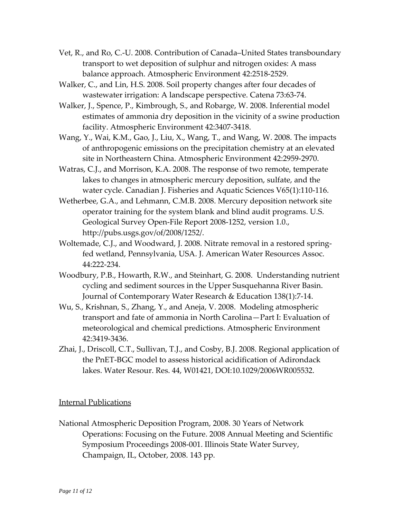- Vet, R., and Ro, C.‐U. 2008. Contribution of [Canada–United](http://www.sciencedirect.com/science?_ob=ArticleURL&_udi=B6VH3-4RC6RDR-2&_user=571676&_coverDate=03%2F31%2F2008&_alid=834001047&_rdoc=19&_fmt=high&_orig=search&_cdi=6055&_sort=d&_docanchor=&view=c&_ct=20&_acct=C000029040&_version=1&_urlVersion=0&_userid=571676&md5=76adb981e0082116ee95b665608f749d) States transboundary transport to wet [deposition](http://www.sciencedirect.com/science?_ob=ArticleURL&_udi=B6VH3-4RC6RDR-2&_user=571676&_coverDate=03%2F31%2F2008&_alid=834001047&_rdoc=19&_fmt=high&_orig=search&_cdi=6055&_sort=d&_docanchor=&view=c&_ct=20&_acct=C000029040&_version=1&_urlVersion=0&_userid=571676&md5=76adb981e0082116ee95b665608f749d) of sulphur and nitrogen oxides: A mass balance [approach](http://www.sciencedirect.com/science?_ob=ArticleURL&_udi=B6VH3-4RC6RDR-2&_user=571676&_coverDate=03%2F31%2F2008&_alid=834001047&_rdoc=19&_fmt=high&_orig=search&_cdi=6055&_sort=d&_docanchor=&view=c&_ct=20&_acct=C000029040&_version=1&_urlVersion=0&_userid=571676&md5=76adb981e0082116ee95b665608f749d). Atmospheric Environment 42:2518‐2529.
- Walker, C., and Lin, H.S. 2008. Soil property changes after four decades of wastewater irrigation: A landscape perspective. Catena 73:63‐74.
- Walker, J., Spence, P., Kimbrough, S., and Robarge, W. 2008. [Inferential](http://www.sciencedirect.com/science?_ob=ArticleURL&_udi=B6VH3-4P2S96V-1&_user=571676&_coverDate=05%2F31%2F2008&_alid=834001047&_rdoc=11&_fmt=high&_orig=search&_cdi=6055&_sort=d&_docanchor=&view=c&_ct=20&_acct=C000029040&_version=1&_urlVersion=0&_userid=571676&md5=d3073e828a6ef0f48db0a00949f77968) model estimates of ammonia dry deposition in the vicinity of a swine [production](http://www.sciencedirect.com/science?_ob=ArticleURL&_udi=B6VH3-4P2S96V-1&_user=571676&_coverDate=05%2F31%2F2008&_alid=834001047&_rdoc=11&_fmt=high&_orig=search&_cdi=6055&_sort=d&_docanchor=&view=c&_ct=20&_acct=C000029040&_version=1&_urlVersion=0&_userid=571676&md5=d3073e828a6ef0f48db0a00949f77968) [facility](http://www.sciencedirect.com/science?_ob=ArticleURL&_udi=B6VH3-4P2S96V-1&_user=571676&_coverDate=05%2F31%2F2008&_alid=834001047&_rdoc=11&_fmt=high&_orig=search&_cdi=6055&_sort=d&_docanchor=&view=c&_ct=20&_acct=C000029040&_version=1&_urlVersion=0&_userid=571676&md5=d3073e828a6ef0f48db0a00949f77968). Atmospheric Environment 42:3407‐3418.
- Wang, Y., Wai, K.M., Gao, J., Liu, X., Wang, T., and Wang, W. 2008. The [impacts](http://www.sciencedirect.com/science?_ob=ArticleURL&_udi=B6VH3-4RTKMXC-1&_user=571676&_coverDate=04%2F30%2F2008&_alid=834001047&_rdoc=15&_fmt=high&_orig=search&_cdi=6055&_sort=d&_docanchor=&view=c&_ct=20&_acct=C000029040&_version=1&_urlVersion=0&_userid=571676&md5=a55e2493dc6e466ee698a4c4abe708e6) of [anthropogenic](http://www.sciencedirect.com/science?_ob=ArticleURL&_udi=B6VH3-4RTKMXC-1&_user=571676&_coverDate=04%2F30%2F2008&_alid=834001047&_rdoc=15&_fmt=high&_orig=search&_cdi=6055&_sort=d&_docanchor=&view=c&_ct=20&_acct=C000029040&_version=1&_urlVersion=0&_userid=571676&md5=a55e2493dc6e466ee698a4c4abe708e6) emissions on the precipitation chemistry at an elevated site in [Northeastern](http://www.sciencedirect.com/science?_ob=ArticleURL&_udi=B6VH3-4RTKMXC-1&_user=571676&_coverDate=04%2F30%2F2008&_alid=834001047&_rdoc=15&_fmt=high&_orig=search&_cdi=6055&_sort=d&_docanchor=&view=c&_ct=20&_acct=C000029040&_version=1&_urlVersion=0&_userid=571676&md5=a55e2493dc6e466ee698a4c4abe708e6) China. Atmospheric Environment 42:2959‐2970.
- Watras, C.J., and Morrison, K.A. 2008. The response of two remote, temperate lakes to changes in atmospheric mercury deposition, sulfate, and the water cycle. Canadian J. Fisheries and Aquatic Sciences V65(1):110‐116.
- Wetherbee, G.A., and Lehmann, C.M.B. 2008. Mercury deposition network site operator training for the system blank and blind audit programs. U.S. Geological Survey Open‐File Report 2008‐1252, version 1.0., http://pubs.usgs.gov/of/2008/1252/.
- Woltemade, C.J., and Woodward, J. 2008. Nitrate removal in a restored springfed wetland, Pennsylvania, USA. J. American Water Resources Assoc. 44:222‐234.
- Woodbury, P.B., Howarth, R.W., and Steinhart, G. 2008. Understanding nutrient cycling and sediment sources in the Upper Susquehanna River Basin. Journal of Contemporary Water Research & Education 138(1):7‐14.
- Wu, S., Krishnan, S., Zhang, Y., and Aneja, V. 2008. Modeling [atmospheric](http://www.sciencedirect.com/science?_ob=ArticleURL&_udi=B6VH3-4NKJ0N5-4&_user=571676&_coverDate=05%2F31%2F2008&_alid=834001047&_rdoc=14&_fmt=high&_orig=search&_cdi=6055&_sort=d&_docanchor=&view=c&_ct=20&_acct=C000029040&_version=1&_urlVersion=0&_userid=571676&md5=55477440819ee511fb9f5c4c64a6a898) transport and fate of ammonia in North [Carolina—Part](http://www.sciencedirect.com/science?_ob=ArticleURL&_udi=B6VH3-4NKJ0N5-4&_user=571676&_coverDate=05%2F31%2F2008&_alid=834001047&_rdoc=14&_fmt=high&_orig=search&_cdi=6055&_sort=d&_docanchor=&view=c&_ct=20&_acct=C000029040&_version=1&_urlVersion=0&_userid=571676&md5=55477440819ee511fb9f5c4c64a6a898) I: Evaluation of [meteorological](http://www.sciencedirect.com/science?_ob=ArticleURL&_udi=B6VH3-4NKJ0N5-4&_user=571676&_coverDate=05%2F31%2F2008&_alid=834001047&_rdoc=14&_fmt=high&_orig=search&_cdi=6055&_sort=d&_docanchor=&view=c&_ct=20&_acct=C000029040&_version=1&_urlVersion=0&_userid=571676&md5=55477440819ee511fb9f5c4c64a6a898) and chemical predictions. Atmospheric Environment 42:3419‐3436.
- Zhai, J., Driscoll, C.T., Sullivan, T.J., and Cosby, B.J. 2008. Regional application of the PnET‐BGC model to assess historical acidification of Adirondack lakes. Water Resour. Res. 44, W01421, DOI:10.1029/2006WR005532.

## Internal Publications

National Atmospheric Deposition Program, 2008. 30 Years of Network Operations: Focusing on the Future. 2008 Annual Meeting and Scientific Symposium Proceedings 2008‐001. Illinois State Water Survey, Champaign, IL, October, 2008. 143 pp.